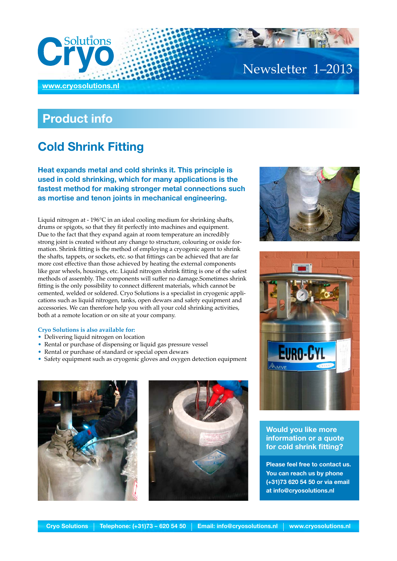

# Newsletter 1–2013

## **Product info**

## **Cold Shrink Fitting**

**Heat expands metal and cold shrinks it. This principle is used in cold shrinking, which for many applications is the fastest method for making stronger metal connections such as mortise and tenon joints in mechanical engineering.** 

Liquid nitrogen at - 196°C in an ideal cooling medium for shrinking shafts, drums or spigots, so that they fit perfectly into machines and equipment. Due to the fact that they expand again at room temperature an incredibly strong joint is created without any change to structure, colouring or oxide formation. Shrink fitting is the method of employing a cryogenic agent to shrink the shafts, tappets, or sockets, etc. so that fittings can be achieved that are far more cost effective than those achieved by heating the external components like gear wheels, housings, etc. Liquid nitrogen shrink fitting is one of the safest methods of assembly. The components will suffer no damage.Sometimes shrink fitting is the only possibility to connect different materials, which cannot be cemented, welded or soldered. Cryo Solutions is a specialist in cryogenic applications such as liquid nitrogen, tanks, open dewars and safety equipment and accessories. We can therefore help you with all your cold shrinking activities, both at a remote location or on site at your company.

#### **Cryo Solutions is also available for:**

- Delivering liquid nitrogen on location
- Rental or purchase of dispensing or liquid gas pressure vessel
- Rental or purchase of standard or special open dewars
- Safety equipment such as cryogenic gloves and oxygen detection equipment









### **Would you like more information or a quote for cold shrink fitting?**

**Please feel free to contact us. You can reach us by phone (+31)73 620 54 50 or via email at info@cryosolutions.nl**